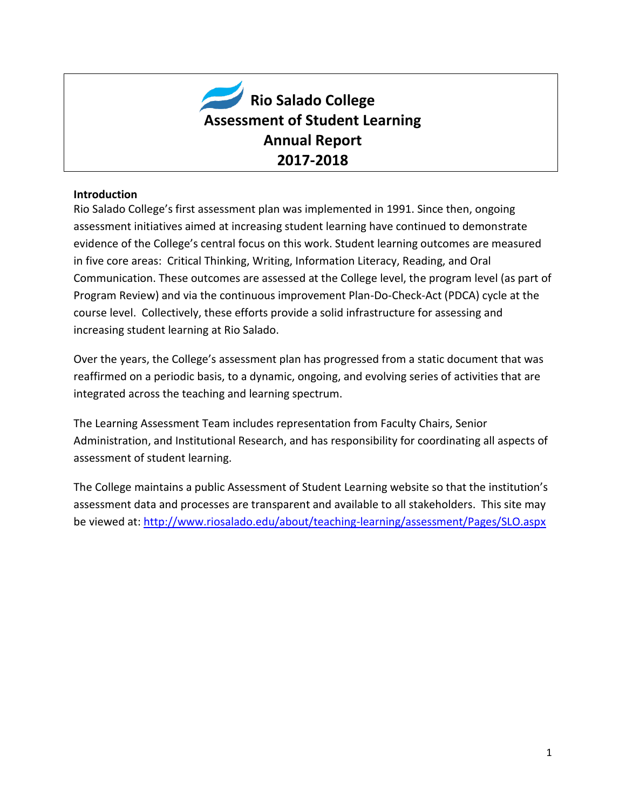

#### **Introduction**

Rio Salado College's first assessment plan was implemented in 1991. Since then, ongoing assessment initiatives aimed at increasing student learning have continued to demonstrate evidence of the College's central focus on this work. Student learning outcomes are measured in five core areas: Critical Thinking, Writing, Information Literacy, Reading, and Oral Communication. These outcomes are assessed at the College level, the program level (as part of Program Review) and via the continuous improvement Plan-Do-Check-Act (PDCA) cycle at the course level. Collectively, these efforts provide a solid infrastructure for assessing and increasing student learning at Rio Salado.

Over the years, the College's assessment plan has progressed from a static document that was reaffirmed on a periodic basis, to a dynamic, ongoing, and evolving series of activities that are integrated across the teaching and learning spectrum.

The Learning Assessment Team includes representation from Faculty Chairs, Senior Administration, and Institutional Research, and has responsibility for coordinating all aspects of assessment of student learning.

The College maintains a public Assessment of Student Learning website so that the institution's assessment data and processes are transparent and available to all stakeholders. This site may be viewed at:<http://www.riosalado.edu/about/teaching-learning/assessment/Pages/SLO.aspx>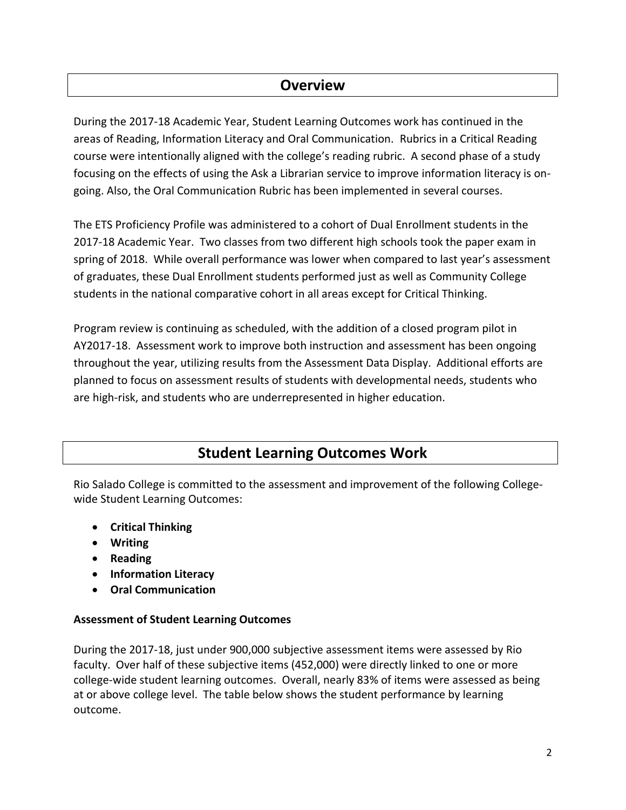### **Overview**

During the 2017-18 Academic Year, Student Learning Outcomes work has continued in the areas of Reading, Information Literacy and Oral Communication. Rubrics in a Critical Reading course were intentionally aligned with the college's reading rubric. A second phase of a study focusing on the effects of using the Ask a Librarian service to improve information literacy is ongoing. Also, the Oral Communication Rubric has been implemented in several courses.

The ETS Proficiency Profile was administered to a cohort of Dual Enrollment students in the 2017-18 Academic Year. Two classes from two different high schools took the paper exam in spring of 2018. While overall performance was lower when compared to last year's assessment of graduates, these Dual Enrollment students performed just as well as Community College students in the national comparative cohort in all areas except for Critical Thinking.

Program review is continuing as scheduled, with the addition of a closed program pilot in AY2017-18. Assessment work to improve both instruction and assessment has been ongoing throughout the year, utilizing results from the Assessment Data Display. Additional efforts are planned to focus on assessment results of students with developmental needs, students who are high-risk, and students who are underrepresented in higher education.

# **Student Learning Outcomes Work**

Rio Salado College is committed to the assessment and improvement of the following Collegewide Student Learning Outcomes:

- **Critical Thinking**
- **Writing**
- **•** Reading
- **Information Literacy**
- **Oral Communication**

#### **Assessment of Student Learning Outcomes**

During the 2017-18, just under 900,000 subjective assessment items were assessed by Rio faculty. Over half of these subjective items (452,000) were directly linked to one or more college-wide student learning outcomes. Overall, nearly 83% of items were assessed as being at or above college level. The table below shows the student performance by learning outcome.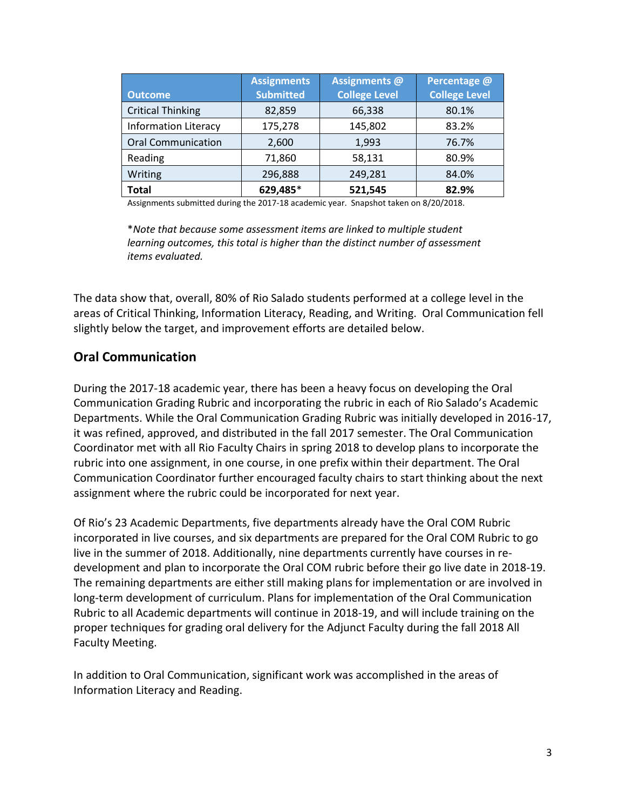| <b>Outcome</b>              | <b>Assignments</b><br><b>Submitted</b> | <b>Assignments @</b><br><b>College Level</b> | Percentage @<br><b>College Level</b> |  |  |
|-----------------------------|----------------------------------------|----------------------------------------------|--------------------------------------|--|--|
| <b>Critical Thinking</b>    | 82,859                                 | 66,338                                       | 80.1%                                |  |  |
| <b>Information Literacy</b> | 175,278                                | 145,802                                      | 83.2%                                |  |  |
| <b>Oral Communication</b>   | 2,600                                  | 1,993                                        | 76.7%                                |  |  |
| Reading                     | 71,860                                 | 58,131                                       | 80.9%                                |  |  |
| Writing                     | 296,888                                | 249,281                                      | 84.0%                                |  |  |
| <b>Total</b>                | 629,485*                               | 521,545                                      | 82.9%                                |  |  |

Assignments submitted during the 2017-18 academic year. Snapshot taken on 8/20/2018.

\**Note that because some assessment items are linked to multiple student learning outcomes, this total is higher than the distinct number of assessment items evaluated.*

The data show that, overall, 80% of Rio Salado students performed at a college level in the areas of Critical Thinking, Information Literacy, Reading, and Writing. Oral Communication fell slightly below the target, and improvement efforts are detailed below.

#### **Oral Communication**

During the 2017-18 academic year, there has been a heavy focus on developing the Oral Communication Grading Rubric and incorporating the rubric in each of Rio Salado's Academic Departments. While the Oral Communication Grading Rubric was initially developed in 2016-17, it was refined, approved, and distributed in the fall 2017 semester. The Oral Communication Coordinator met with all Rio Faculty Chairs in spring 2018 to develop plans to incorporate the rubric into one assignment, in one course, in one prefix within their department. The Oral Communication Coordinator further encouraged faculty chairs to start thinking about the next assignment where the rubric could be incorporated for next year.

Of Rio's 23 Academic Departments, five departments already have the Oral COM Rubric incorporated in live courses, and six departments are prepared for the Oral COM Rubric to go live in the summer of 2018. Additionally, nine departments currently have courses in redevelopment and plan to incorporate the Oral COM rubric before their go live date in 2018-19. The remaining departments are either still making plans for implementation or are involved in long-term development of curriculum. Plans for implementation of the Oral Communication Rubric to all Academic departments will continue in 2018-19, and will include training on the proper techniques for grading oral delivery for the Adjunct Faculty during the fall 2018 All Faculty Meeting.

In addition to Oral Communication, significant work was accomplished in the areas of Information Literacy and Reading.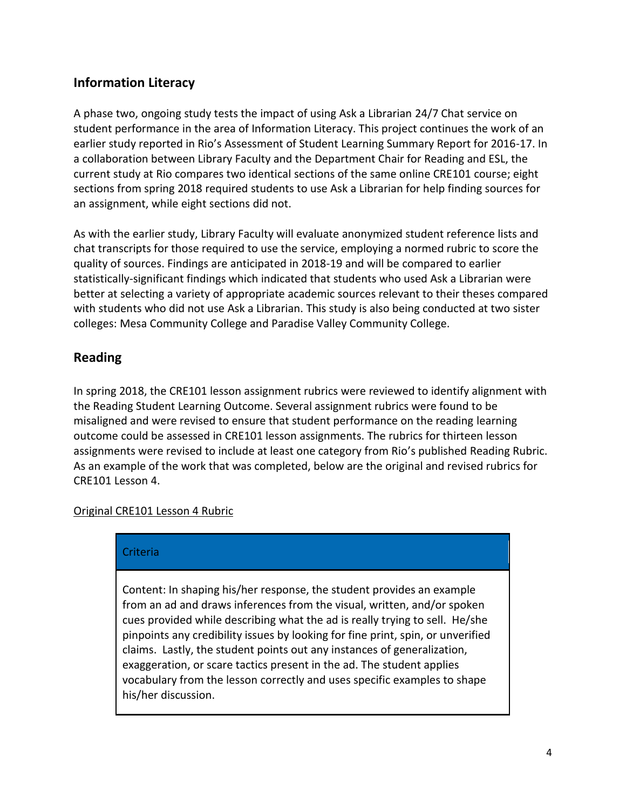### **Information Literacy**

A phase two, ongoing study tests the impact of using Ask a Librarian 24/7 Chat service on student performance in the area of Information Literacy. This project continues the work of an earlier study reported in Rio's Assessment of Student Learning Summary Report for 2016-17. In a collaboration between Library Faculty and the Department Chair for Reading and ESL, the current study at Rio compares two identical sections of the same online CRE101 course; eight sections from spring 2018 required students to use Ask a Librarian for help finding sources for an assignment, while eight sections did not.

As with the earlier study, Library Faculty will evaluate anonymized student reference lists and chat transcripts for those required to use the service, employing a normed rubric to score the quality of sources. Findings are anticipated in 2018-19 and will be compared to earlier statistically-significant findings which indicated that students who used Ask a Librarian were better at selecting a variety of appropriate academic sources relevant to their theses compared with students who did not use Ask a Librarian. This study is also being conducted at two sister colleges: Mesa Community College and Paradise Valley Community College.

### **Reading**

In spring 2018, the CRE101 lesson assignment rubrics were reviewed to identify alignment with the Reading Student Learning Outcome. Several assignment rubrics were found to be misaligned and were revised to ensure that student performance on the reading learning outcome could be assessed in CRE101 lesson assignments. The rubrics for thirteen lesson assignments were revised to include at least one category from Rio's published Reading Rubric. As an example of the work that was completed, below are the original and revised rubrics for CRE101 Lesson 4.

#### Original CRE101 Lesson 4 Rubric

#### Criteria

Content: In shaping his/her response, the student provides an example from an ad and draws inferences from the visual, written, and/or spoken cues provided while describing what the ad is really trying to sell. He/she pinpoints any credibility issues by looking for fine print, spin, or unverified claims. Lastly, the student points out any instances of generalization, exaggeration, or scare tactics present in the ad. The student applies vocabulary from the lesson correctly and uses specific examples to shape his/her discussion.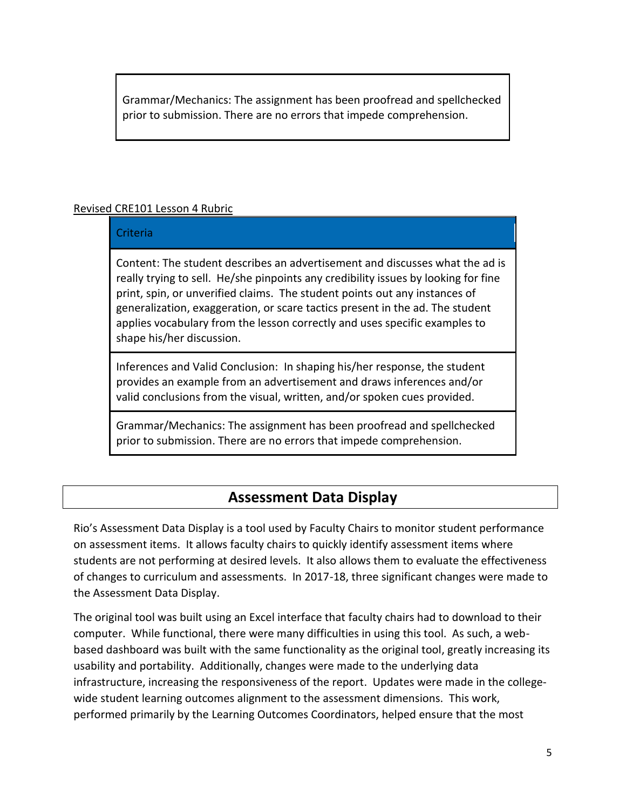Grammar/Mechanics: The assignment has been proofread and spellchecked prior to submission. There are no errors that impede comprehension.

#### Revised CRE101 Lesson 4 Rubric

#### Criteria

Content: The student describes an advertisement and discusses what the ad is really trying to sell. He/she pinpoints any credibility issues by looking for fine print, spin, or unverified claims. The student points out any instances of generalization, exaggeration, or scare tactics present in the ad. The student applies vocabulary from the lesson correctly and uses specific examples to shape his/her discussion.

Inferences and Valid Conclusion: In shaping his/her response, the student provides an example from an advertisement and draws inferences and/or valid conclusions from the visual, written, and/or spoken cues provided.

Grammar/Mechanics: The assignment has been proofread and spellchecked prior to submission. There are no errors that impede comprehension.

### **Assessment Data Display**

Rio's Assessment Data Display is a tool used by Faculty Chairs to monitor student performance on assessment items. It allows faculty chairs to quickly identify assessment items where students are not performing at desired levels. It also allows them to evaluate the effectiveness of changes to curriculum and assessments. In 2017-18, three significant changes were made to the Assessment Data Display.

The original tool was built using an Excel interface that faculty chairs had to download to their computer. While functional, there were many difficulties in using this tool. As such, a webbased dashboard was built with the same functionality as the original tool, greatly increasing its usability and portability. Additionally, changes were made to the underlying data infrastructure, increasing the responsiveness of the report. Updates were made in the collegewide student learning outcomes alignment to the assessment dimensions. This work, performed primarily by the Learning Outcomes Coordinators, helped ensure that the most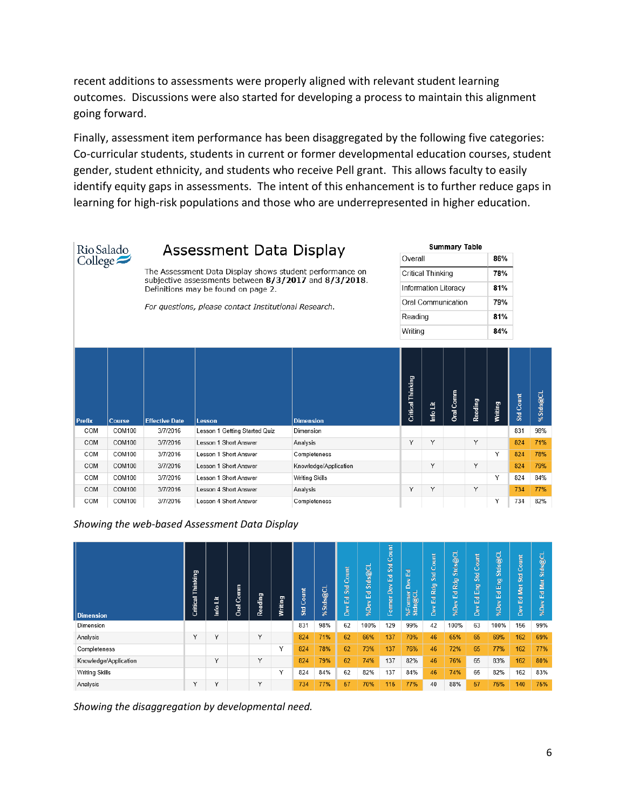recent additions to assessments were properly aligned with relevant student learning outcomes. Discussions were also started for developing a process to maintain this alignment going forward.

Finally, assessment item performance has been disaggregated by the following five categories: Co-curricular students, students in current or former developmental education courses, student gender, student ethnicity, and students who receive Pell grant. This allows faculty to easily identify equity gaps in assessments. The intent of this enhancement is to further reduce gaps in learning for high-risk populations and those who are underrepresented in higher education.

|                       |        |                                                       | Assessment Data Display                                                                      |                       |                    |          |           |                      |         |           |          |  |  |  |
|-----------------------|--------|-------------------------------------------------------|----------------------------------------------------------------------------------------------|-----------------------|--------------------|----------|-----------|----------------------|---------|-----------|----------|--|--|--|
| Rio Salado<br>College |        |                                                       |                                                                                              |                       | Overall            |          | 86%       |                      |         |           |          |  |  |  |
|                       |        |                                                       | The Assessment Data Display shows student performance on                                     |                       | Critical Thinking  | 78%      |           |                      |         |           |          |  |  |  |
|                       |        |                                                       | subjective assessments between 8/3/2017 and 8/3/2018.<br>Definitions may be found on page 2. |                       |                    |          |           | Information Literacy |         |           |          |  |  |  |
|                       |        | For questions, please contact Institutional Research. |                                                                                              |                       | Oral Communication | 79%      |           |                      |         |           |          |  |  |  |
|                       |        |                                                       |                                                                                              | Reading               |                    | 81%      |           |                      |         |           |          |  |  |  |
|                       |        |                                                       |                                                                                              | Writing               |                    | 84%      |           |                      |         |           |          |  |  |  |
|                       |        |                                                       |                                                                                              |                       |                    |          |           |                      |         |           |          |  |  |  |
| <b>Prefix</b>         | Course | <b>Effective Date</b>                                 | Lesson                                                                                       | <b>Dimension</b>      | Critical Thinking  | Info Lit | Oral Comm | Reading              | Writing | Std Count | %Stds@Cl |  |  |  |
| COM                   | COM100 | 3/7/2016                                              | Lesson 1 Getting Started Quiz                                                                | Dimension             |                    |          |           |                      |         | 831       | 98%      |  |  |  |
| COM                   | COM100 | 3/7/2016                                              | Lesson 1 Short Answer                                                                        | Analysis              | Y                  | Y        |           | Y                    |         | 824       | 71%      |  |  |  |
| COM                   | COM100 | 3/7/2016                                              | Lesson 1 Short Answer                                                                        | Completeness          |                    |          |           |                      | Y       | 824       | 78%      |  |  |  |
| COM                   | COM100 | 3/7/2016                                              | Lesson 1 Short Answer                                                                        | Knowledge/Application |                    | Y        |           | Y                    |         | 824       | 79%      |  |  |  |
| COM                   | COM100 | 3/7/2016                                              | Lesson 1 Short Answer                                                                        | Writing Skills        |                    |          |           |                      | Y       | 824       | 84%      |  |  |  |
| COM                   | COM100 | 3/7/2016                                              | Lesson 4 Short Answer                                                                        | Analysis              | Y                  | Y        |           | Υ                    |         | 734       | 77%      |  |  |  |
| COM                   | COM100 | 3/7/2016                                              | Lesson 4 Short Answer                                                                        | Completeness          |                    |          |           |                      | Υ       | 734       | 82%      |  |  |  |

*Showing the web-based Assessment Data Display*

| Dimension             | Thinking<br>Critical | ã<br>Info    | Comm<br><b>Grad</b> | Reading      | Writing | Count<br>Std | %Stds@CL | Count<br>Std<br>$\Xi$<br>Dev | Stds@CL<br>Ē<br>%Dev | Count<br><b>Std</b><br>旵<br>Dev<br>Former | Dev Ed<br>%Former<br>Stds@CL | Std Count<br>Ed Rdg<br>Dev | Stds@CL<br>Rdg<br>旵<br>%Dev | Count<br>Std<br>Emg<br>旵<br>Dev | Stds@CL<br>Eing<br>$\overline{\mathbb{B}}$<br>%Dev | Count<br>Std<br>Ed Mat<br>Dev | Stds@CL<br>Mat<br>旵<br>%Dev |
|-----------------------|----------------------|--------------|---------------------|--------------|---------|--------------|----------|------------------------------|----------------------|-------------------------------------------|------------------------------|----------------------------|-----------------------------|---------------------------------|----------------------------------------------------|-------------------------------|-----------------------------|
| Dimension             |                      |              |                     |              |         | 831          | 98%      | 62                           | 100%                 | 129                                       | 99%                          | 42                         | 100%                        | 63                              | 100%                                               | 156                           | 99%                         |
| Analysis              | Y                    | $\checkmark$ |                     | Y            |         | 824          | 71%      | 62                           | 66%                  | 137                                       | 70%                          | 46                         | 65%                         | 65                              | 69%                                                | 162                           | 69%                         |
| Completeness          |                      |              |                     |              | Υ       | 824          | 78%      | 62                           | 73%                  | 137                                       | 76%                          | 46                         | 72%                         | 65                              | 77%                                                | 162                           | 77%                         |
| Knowledge/Application |                      | v            |                     | Υ            |         | 824          | 79%      | 62                           | 74%                  | 137                                       | 82%                          | 46                         | 76%                         | 65                              | 83%                                                | 162                           | 80%                         |
| <b>Writing Skills</b> |                      |              |                     |              | Υ       | 824          | 84%      | 62                           | 82%                  | 137                                       | 84%                          | 46                         | 74%                         | 65                              | 82%                                                | 162                           | 83%                         |
| Analysis              | $\vee$               | $\vee$       |                     | $\checkmark$ |         | 734          | 77%      | 57                           | 70%                  | 115                                       | 77%                          | 40                         | 88%                         | 57                              | 75%                                                | 140                           | 75%                         |

*Showing the disaggregation by developmental need.*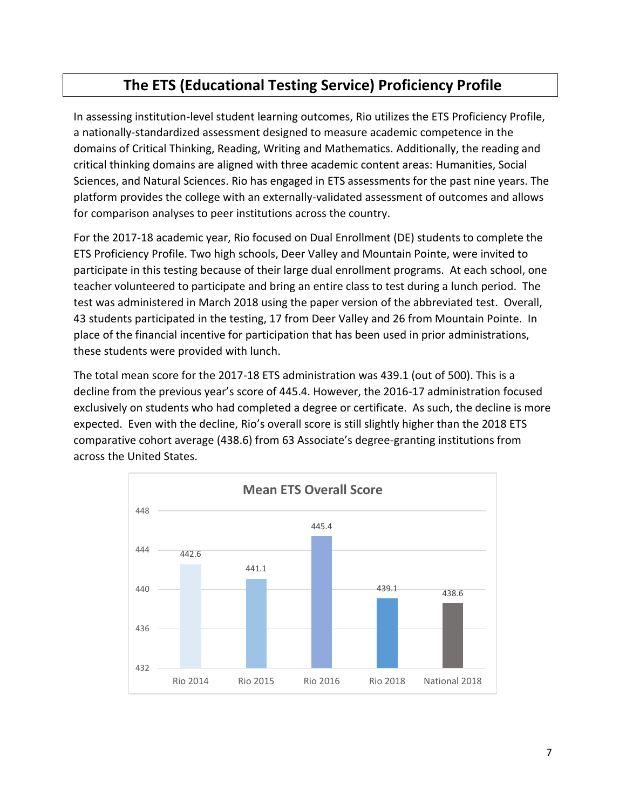# **The ETS (Educational Testing Service) Proficiency Profile**

In assessing institution-level student learning outcomes, Rio utilizes the ETS Proficiency Profile, a nationally-standardized assessment designed to measure academic competence in the domains of Critical Thinking, Reading, Writing and Mathematics. Additionally, the reading and critical thinking domains are aligned with three academic content areas: Humanities, Social Sciences, and Natural Sciences. Rio has engaged in ETS assessments for the past nine years. The platform provides the college with an externally-validated assessment of outcomes and allows for comparison analyses to peer institutions across the country.

For the 2017-18 academic year, Rio focused on Dual Enrollment (DE) students to complete the ETS Proficiency Profile. Two high schools, Deer Valley and Mountain Pointe, were invited to participate in this testing because of their large dual enrollment programs. At each school, one teacher volunteered to participate and bring an entire class to test during a lunch period. The test was administered in March 2018 using the paper version of the abbreviated test. Overall, 43 students participated in the testing, 17 from Deer Valley and 26 from Mountain Pointe. In place of the financial incentive for participation that has been used in prior administrations, these students were provided with lunch.

The total mean score for the 2017-18 ETS administration was 439.1 (out of 500). This is a decline from the previous year's score of 445.4. However, the 2016-17 administration focused exclusively on students who had completed a degree or certificate. As such, the decline is more expected. Even with the decline, Rio's overall score is still slightly higher than the 2018 ETS comparative cohort average (438.6) from 63 Associate's degree-granting institutions from across the United States.

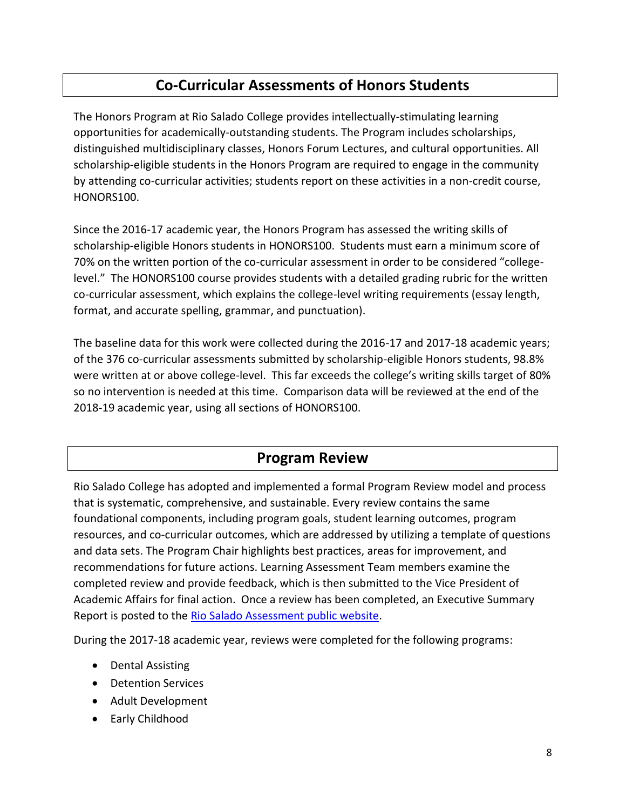# **Co-Curricular Assessments of Honors Students**

The Honors Program at Rio Salado College provides intellectually-stimulating learning opportunities for academically-outstanding students. The Program includes scholarships, distinguished multidisciplinary classes, Honors Forum Lectures, and cultural opportunities. All scholarship-eligible students in the Honors Program are required to engage in the community by attending co-curricular activities; students report on these activities in a non-credit course, HONORS100.

Since the 2016-17 academic year, the Honors Program has assessed the writing skills of scholarship-eligible Honors students in HONORS100. Students must earn a minimum score of 70% on the written portion of the co-curricular assessment in order to be considered "collegelevel." The HONORS100 course provides students with a detailed grading rubric for the written co-curricular assessment, which explains the college-level writing requirements (essay length, format, and accurate spelling, grammar, and punctuation).

The baseline data for this work were collected during the 2016-17 and 2017-18 academic years; of the 376 co-curricular assessments submitted by scholarship-eligible Honors students, 98.8% were written at or above college-level. This far exceeds the college's writing skills target of 80% so no intervention is needed at this time. Comparison data will be reviewed at the end of the 2018-19 academic year, using all sections of HONORS100.

### **Program Review**

Rio Salado College has adopted and implemented a formal Program Review model and process that is systematic, comprehensive, and sustainable. Every review contains the same foundational components, including program goals, student learning outcomes, program resources, and co-curricular outcomes, which are addressed by utilizing a template of questions and data sets. The Program Chair highlights best practices, areas for improvement, and recommendations for future actions. Learning Assessment Team members examine the completed review and provide feedback, which is then submitted to the Vice President of Academic Affairs for final action. Once a review has been completed, an Executive Summary Report is posted to the [Rio Salado Assessment public website.](http://www.riosalado.edu/about/teaching-learning/assessment/Pages/SLO.aspx)

During the 2017-18 academic year, reviews were completed for the following programs:

- Dental Assisting
- Detention Services
- Adult Development
- Early Childhood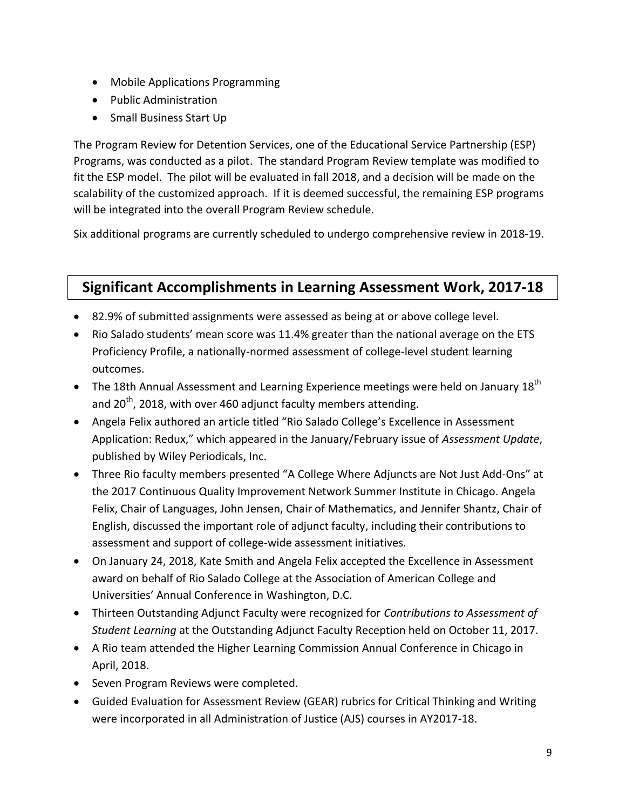- Mobile Applications Programming
- Public Administration
- Small Business Start Up

The Program Review for Detention Services, one of the Educational Service Partnership (ESP) Programs, was conducted as a pilot. The standard Program Review template was modified to fit the ESP model. The pilot will be evaluated in fall 2018, and a decision will be made on the scalability of the customized approach. If it is deemed successful, the remaining ESP programs will be integrated into the overall Program Review schedule.

Six additional programs are currently scheduled to undergo comprehensive review in 2018-19.

# **Significant Accomplishments in Learning Assessment Work, 2017-18**

- 82.9% of submitted assignments were assessed as being at or above college level.
- Rio Salado students' mean score was 11.4% greater than the national average on the ETS Proficiency Profile, a nationally-normed assessment of college-level student learning outcomes.
- The 18th Annual Assessment and Learning Experience meetings were held on January  $18<sup>th</sup>$ and 20<sup>th</sup>, 2018, with over 460 adjunct faculty members attending.
- Angela Felix authored an article titled "Rio Salado College's Excellence in Assessment Application: Redux," which appeared in the January/February issue of *Assessment Update*, published by Wiley Periodicals, Inc.
- Three Rio faculty members presented "A College Where Adjuncts are Not Just Add-Ons" at the 2017 Continuous Quality Improvement Network Summer Institute in Chicago. Angela Felix, Chair of Languages, John Jensen, Chair of Mathematics, and Jennifer Shantz, Chair of English, discussed the important role of adjunct faculty, including their contributions to assessment and support of college-wide assessment initiatives.
- On January 24, 2018, Kate Smith and Angela Felix accepted the Excellence in Assessment award on behalf of Rio Salado College at the Association of American College and Universities' Annual Conference in Washington, D.C.
- Thirteen Outstanding Adjunct Faculty were recognized for *Contributions to Assessment of Student Learning* at the Outstanding Adjunct Faculty Reception held on October 11, 2017.
- A Rio team attended the Higher Learning Commission Annual Conference in Chicago in April, 2018.
- Seven Program Reviews were completed.
- Guided Evaluation for Assessment Review (GEAR) rubrics for Critical Thinking and Writing were incorporated in all Administration of Justice (AJS) courses in AY2017-18.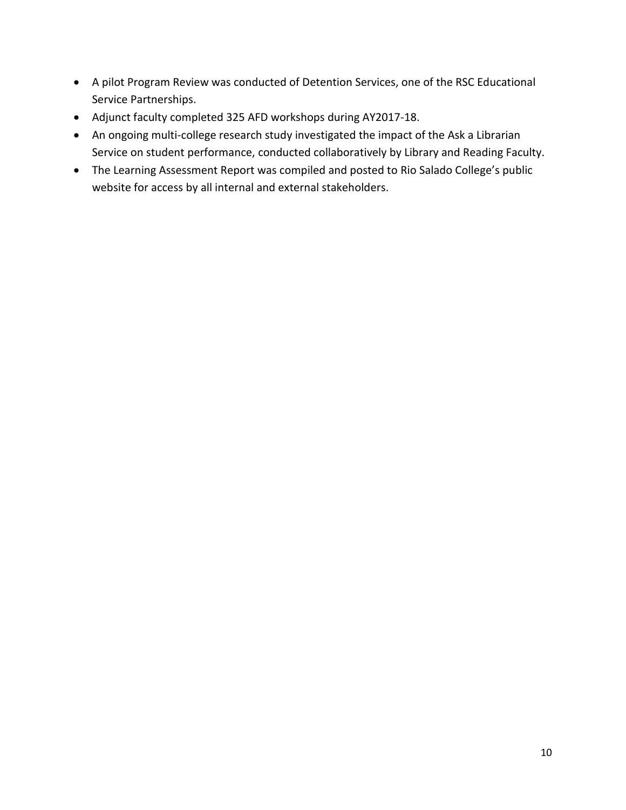- A pilot Program Review was conducted of Detention Services, one of the RSC Educational Service Partnerships.
- Adjunct faculty completed 325 AFD workshops during AY2017-18.
- An ongoing multi-college research study investigated the impact of the Ask a Librarian Service on student performance, conducted collaboratively by Library and Reading Faculty.
- The Learning Assessment Report was compiled and posted to Rio Salado College's public website for access by all internal and external stakeholders.